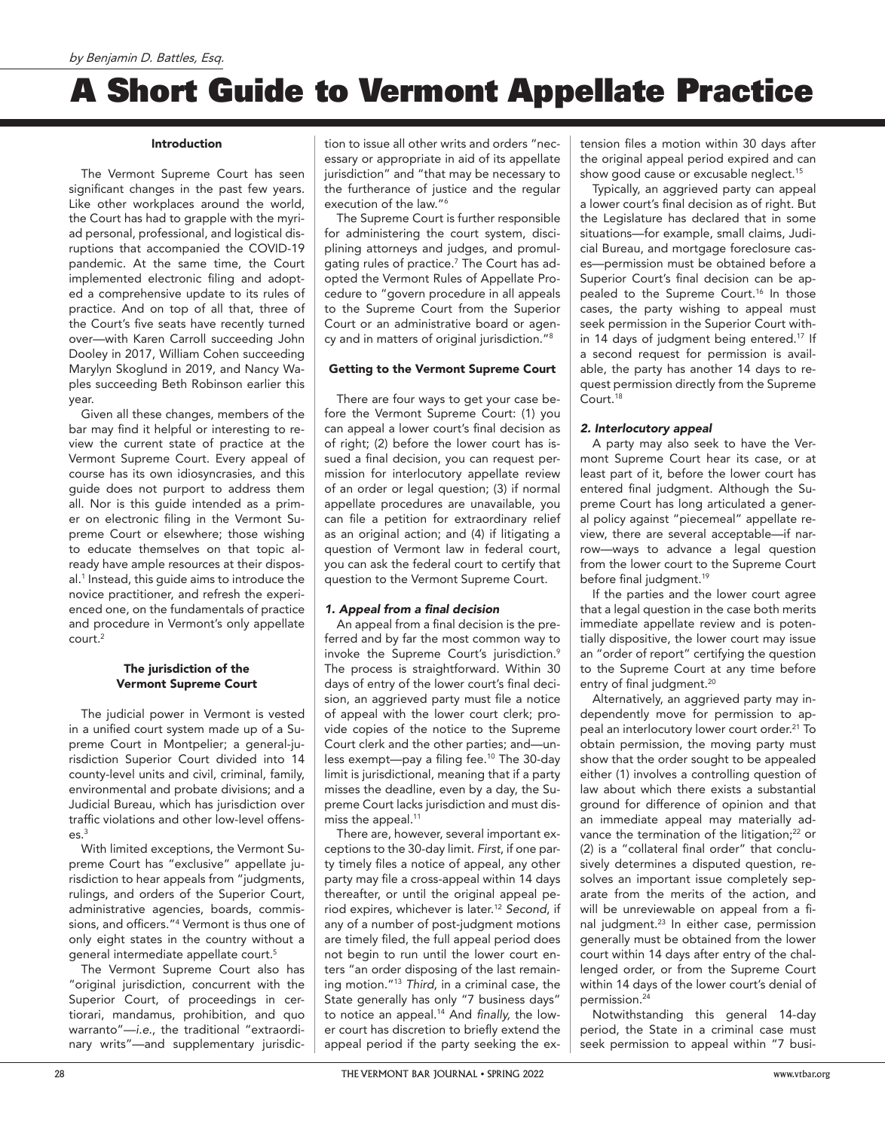# A Short Guide to Vermont Appellate Practice

## Introduction

The Vermont Supreme Court has seen significant changes in the past few years. Like other workplaces around the world, the Court has had to grapple with the myriad personal, professional, and logistical disruptions that accompanied the COVID-19 pandemic. At the same time, the Court implemented electronic filing and adopted a comprehensive update to its rules of practice. And on top of all that, three of the Court's five seats have recently turned over—with Karen Carroll succeeding John Dooley in 2017, William Cohen succeeding Marylyn Skoglund in 2019, and Nancy Waples succeeding Beth Robinson earlier this year.

Given all these changes, members of the bar may find it helpful or interesting to review the current state of practice at the Vermont Supreme Court. Every appeal of course has its own idiosyncrasies, and this guide does not purport to address them all. Nor is this guide intended as a primer on electronic filing in the Vermont Supreme Court or elsewhere; those wishing to educate themselves on that topic already have ample resources at their disposal.1 Instead, this guide aims to introduce the novice practitioner, and refresh the experienced one, on the fundamentals of practice and procedure in Vermont's only appellate court.2

## The jurisdiction of the Vermont Supreme Court

The judicial power in Vermont is vested in a unified court system made up of a Supreme Court in Montpelier; a general-jurisdiction Superior Court divided into 14 county-level units and civil, criminal, family, environmental and probate divisions; and a Judicial Bureau, which has jurisdiction over traffic violations and other low-level offens $es<sup>3</sup>$ 

With limited exceptions, the Vermont Supreme Court has "exclusive" appellate jurisdiction to hear appeals from "judgments, rulings, and orders of the Superior Court, administrative agencies, boards, commissions, and officers."<sup>4</sup> Vermont is thus one of only eight states in the country without a general intermediate appellate court.5

The Vermont Supreme Court also has "original jurisdiction, concurrent with the Superior Court, of proceedings in certiorari, mandamus, prohibition, and quo warranto"—*i.e.*, the traditional "extraordinary writs"—and supplementary jurisdiction to issue all other writs and orders "necessary or appropriate in aid of its appellate jurisdiction" and "that may be necessary to the furtherance of justice and the regular execution of the law."<sup>6</sup>

The Supreme Court is further responsible for administering the court system, disciplining attorneys and judges, and promulgating rules of practice.7 The Court has adopted the Vermont Rules of Appellate Procedure to "govern procedure in all appeals to the Supreme Court from the Superior Court or an administrative board or agency and in matters of original jurisdiction."8

## Getting to the Vermont Supreme Court

There are four ways to get your case before the Vermont Supreme Court: (1) you can appeal a lower court's final decision as of right; (2) before the lower court has issued a final decision, you can request permission for interlocutory appellate review of an order or legal question; (3) if normal appellate procedures are unavailable, you can file a petition for extraordinary relief as an original action; and (4) if litigating a question of Vermont law in federal court, you can ask the federal court to certify that question to the Vermont Supreme Court.

# 1. Appeal from a final decision

An appeal from a final decision is the preferred and by far the most common way to invoke the Supreme Court's jurisdiction.9 The process is straightforward. Within 30 days of entry of the lower court's final decision, an aggrieved party must file a notice of appeal with the lower court clerk; provide copies of the notice to the Supreme Court clerk and the other parties; and—unless exempt—pay a filing fee.10 The 30-day limit is jurisdictional, meaning that if a party misses the deadline, even by a day, the Supreme Court lacks jurisdiction and must dismiss the appeal.<sup>11</sup>

There are, however, several important exceptions to the 30-day limit. *First*, if one party timely files a notice of appeal, any other party may file a cross-appeal within 14 days thereafter, or until the original appeal period expires, whichever is later.12 *Second*, if any of a number of post-judgment motions are timely filed, the full appeal period does not begin to run until the lower court enters "an order disposing of the last remaining motion."13 *Third*, in a criminal case, the State generally has only "7 business days" to notice an appeal.<sup>14</sup> And finally, the lower court has discretion to briefly extend the appeal period if the party seeking the ex-

tension files a motion within 30 days after the original appeal period expired and can show good cause or excusable neglect.<sup>15</sup>

Typically, an aggrieved party can appeal a lower court's final decision as of right. But the Legislature has declared that in some situations—for example, small claims, Judicial Bureau, and mortgage foreclosure cases—permission must be obtained before a Superior Court's final decision can be appealed to the Supreme Court.<sup>16</sup> In those cases, the party wishing to appeal must seek permission in the Superior Court within 14 days of judgment being entered.<sup>17</sup> If a second request for permission is available, the party has another 14 days to request permission directly from the Supreme Court.18

# *2. Interlocutory appeal*

A party may also seek to have the Vermont Supreme Court hear its case, or at least part of it, before the lower court has entered final judgment. Although the Supreme Court has long articulated a general policy against "piecemeal" appellate review, there are several acceptable—if narrow—ways to advance a legal question from the lower court to the Supreme Court before final judgment.<sup>19</sup>

If the parties and the lower court agree that a legal question in the case both merits immediate appellate review and is potentially dispositive, the lower court may issue an "order of report" certifying the question to the Supreme Court at any time before entry of final judgment.<sup>20</sup>

Alternatively, an aggrieved party may independently move for permission to appeal an interlocutory lower court order.<sup>21</sup> To obtain permission, the moving party must show that the order sought to be appealed either (1) involves a controlling question of law about which there exists a substantial ground for difference of opinion and that an immediate appeal may materially advance the termination of the litigation;<sup>22</sup> or (2) is a "collateral final order" that conclusively determines a disputed question, resolves an important issue completely separate from the merits of the action, and will be unreviewable on appeal from a final judgment.23 In either case, permission generally must be obtained from the lower court within 14 days after entry of the challenged order, or from the Supreme Court within 14 days of the lower court's denial of permission.24

Notwithstanding this general 14-day period, the State in a criminal case must seek permission to appeal within "7 busi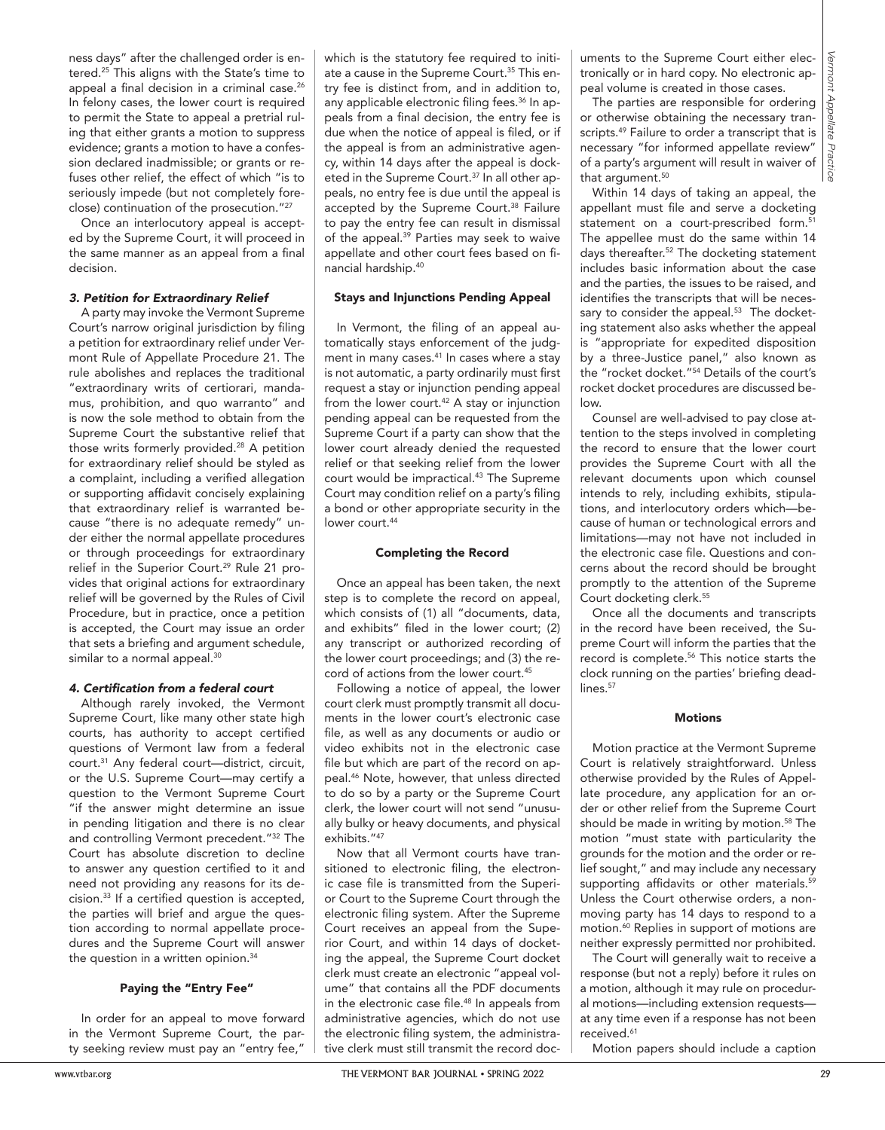ness days" after the challenged order is entered.25 This aligns with the State's time to appeal a final decision in a criminal case.<sup>26</sup> In felony cases, the lower court is required to permit the State to appeal a pretrial ruling that either grants a motion to suppress evidence; grants a motion to have a confession declared inadmissible; or grants or refuses other relief, the effect of which "is to seriously impede (but not completely foreclose) continuation of the prosecution."27

Once an interlocutory appeal is accepted by the Supreme Court, it will proceed in the same manner as an appeal from a final decision.

#### *3. Petition for Extraordinary Relief*

where the content of the space scale and  $\theta$  is the space scale and  $\theta$  is the space scale and  $\theta$  is the space scale and  $\theta$  is the space scale and  $\theta$  is the space scale and  $\theta$  is the space scale and  $\theta$  is the A party may invoke the Vermont Supreme Court's narrow original jurisdiction by filing a petition for extraordinary relief under Vermont Rule of Appellate Procedure 21. The rule abolishes and replaces the traditional "extraordinary writs of certiorari, mandamus, prohibition, and quo warranto" and is now the sole method to obtain from the Supreme Court the substantive relief that those writs formerly provided.<sup>28</sup> A petition for extraordinary relief should be styled as a complaint, including a verified allegation or supporting affidavit concisely explaining that extraordinary relief is warranted because "there is no adequate remedy" under either the normal appellate procedures or through proceedings for extraordinary relief in the Superior Court.<sup>29</sup> Rule 21 provides that original actions for extraordinary relief will be governed by the Rules of Civil Procedure, but in practice, once a petition is accepted, the Court may issue an order that sets a briefing and argument schedule, similar to a normal appeal.<sup>30</sup>

#### 4. Certification from a federal court

Although rarely invoked, the Vermont Supreme Court, like many other state high courts, has authority to accept certified questions of Vermont law from a federal court.31 Any federal court—district, circuit, or the U.S. Supreme Court—may certify a question to the Vermont Supreme Court "if the answer might determine an issue in pending litigation and there is no clear and controlling Vermont precedent."32 The Court has absolute discretion to decline to answer any question certified to it and need not providing any reasons for its decision.33 If a certified question is accepted, the parties will brief and argue the question according to normal appellate procedures and the Supreme Court will answer the question in a written opinion.<sup>34</sup>

# Paying the "Entry Fee"

In order for an appeal to move forward in the Vermont Supreme Court, the party seeking review must pay an "entry fee,"

which is the statutory fee required to initiate a cause in the Supreme Court.<sup>35</sup> This entry fee is distinct from, and in addition to, any applicable electronic filing fees.<sup>36</sup> In appeals from a final decision, the entry fee is due when the notice of appeal is filed, or if the appeal is from an administrative agency, within 14 days after the appeal is docketed in the Supreme Court.<sup>37</sup> In all other appeals, no entry fee is due until the appeal is accepted by the Supreme Court.<sup>38</sup> Failure to pay the entry fee can result in dismissal of the appeal.<sup>39</sup> Parties may seek to waive appellate and other court fees based on financial hardship.40

### Stays and Injunctions Pending Appeal

In Vermont, the filing of an appeal automatically stays enforcement of the judgment in many cases.<sup>41</sup> In cases where a stay is not automatic, a party ordinarily must first request a stay or injunction pending appeal from the lower court. $42$  A stay or injunction pending appeal can be requested from the Supreme Court if a party can show that the lower court already denied the requested relief or that seeking relief from the lower court would be impractical.<sup>43</sup> The Supreme Court may condition relief on a party's filing a bond or other appropriate security in the lower court.<sup>44</sup>

#### Completing the Record

Once an appeal has been taken, the next step is to complete the record on appeal, which consists of (1) all "documents, data, and exhibits" filed in the lower court; (2) any transcript or authorized recording of the lower court proceedings; and (3) the record of actions from the lower court.<sup>45</sup>

Following a notice of appeal, the lower court clerk must promptly transmit all documents in the lower court's electronic case file, as well as any documents or audio or video exhibits not in the electronic case file but which are part of the record on appeal.46 Note, however, that unless directed to do so by a party or the Supreme Court clerk, the lower court will not send "unusually bulky or heavy documents, and physical exhibits."47

Now that all Vermont courts have transitioned to electronic filing, the electronic case file is transmitted from the Superior Court to the Supreme Court through the electronic filing system. After the Supreme Court receives an appeal from the Superior Court, and within 14 days of docketing the appeal, the Supreme Court docket clerk must create an electronic "appeal volume" that contains all the PDF documents in the electronic case file.<sup>48</sup> In appeals from administrative agencies, which do not use the electronic filing system, the administrative clerk must still transmit the record doc-

The parties are responsible for ordering or otherwise obtaining the necessary transcripts.<sup>49</sup> Failure to order a transcript that is necessary "for informed appellate review" of a party's argument will result in waiver of that argument.<sup>50</sup>

Within 14 days of taking an appeal, the appellant must file and serve a docketing statement on a court-prescribed form.<sup>51</sup> The appellee must do the same within 14 days thereafter.52 The docketing statement includes basic information about the case and the parties, the issues to be raised, and identifies the transcripts that will be necessary to consider the appeal. $53$  The docketing statement also asks whether the appeal is "appropriate for expedited disposition by a three-Justice panel," also known as the "rocket docket."54 Details of the court's rocket docket procedures are discussed below.

Counsel are well-advised to pay close attention to the steps involved in completing the record to ensure that the lower court provides the Supreme Court with all the relevant documents upon which counsel intends to rely, including exhibits, stipulations, and interlocutory orders which—because of human or technological errors and limitations—may not have not included in the electronic case file. Questions and concerns about the record should be brought promptly to the attention of the Supreme Court docketing clerk.55

Once all the documents and transcripts in the record have been received, the Supreme Court will inform the parties that the record is complete.56 This notice starts the clock running on the parties' briefing deadlines.<sup>57</sup>

#### **Motions**

Motion practice at the Vermont Supreme Court is relatively straightforward. Unless otherwise provided by the Rules of Appellate procedure, any application for an order or other relief from the Supreme Court should be made in writing by motion.<sup>58</sup> The motion "must state with particularity the grounds for the motion and the order or relief sought," and may include any necessary supporting affidavits or other materials.<sup>59</sup> Unless the Court otherwise orders, a nonmoving party has 14 days to respond to a motion.60 Replies in support of motions are neither expressly permitted nor prohibited.

The Court will generally wait to receive a response (but not a reply) before it rules on a motion, although it may rule on procedural motions—including extension requests at any time even if a response has not been received.<sup>61</sup>

Motion papers should include a caption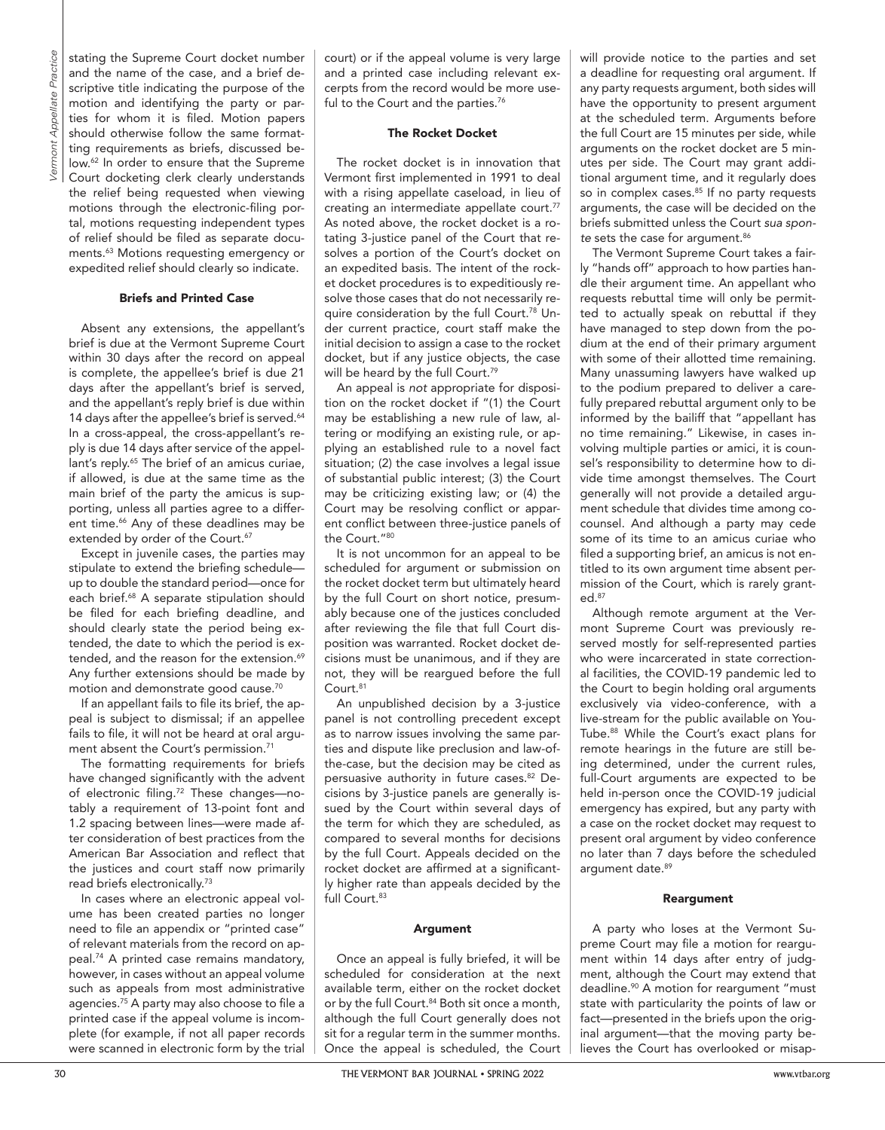stating the Supreme Court docket number and the name of the case, and a brief descriptive title indicating the purpose of the motion and identifying the party or parties for whom it is filed. Motion papers should otherwise follow the same formatting requirements as briefs, discussed below.62 In order to ensure that the Supreme Court docketing clerk clearly understands the relief being requested when viewing motions through the electronic-filing portal, motions requesting independent types of relief should be filed as separate documents.63 Motions requesting emergency or expedited relief should clearly so indicate.

#### Briefs and Printed Case

Absent any extensions, the appellant's brief is due at the Vermont Supreme Court within 30 days after the record on appeal is complete, the appellee's brief is due 21 days after the appellant's brief is served, and the appellant's reply brief is due within 14 days after the appellee's brief is served.<sup>64</sup> In a cross-appeal, the cross-appellant's reply is due 14 days after service of the appellant's reply.<sup>65</sup> The brief of an amicus curiae, if allowed, is due at the same time as the main brief of the party the amicus is supporting, unless all parties agree to a different time.<sup>66</sup> Any of these deadlines may be extended by order of the Court.<sup>67</sup>

Except in juvenile cases, the parties may stipulate to extend the briefing schedule up to double the standard period—once for each brief.<sup>68</sup> A separate stipulation should be filed for each briefing deadline, and should clearly state the period being extended, the date to which the period is extended, and the reason for the extension.<sup>69</sup> Any further extensions should be made by motion and demonstrate good cause.70

If an appellant fails to file its brief, the appeal is subject to dismissal; if an appellee fails to file, it will not be heard at oral argument absent the Court's permission.<sup>71</sup>

The formatting requirements for briefs have changed significantly with the advent of electronic filing.72 These changes—notably a requirement of 13-point font and 1.2 spacing between lines—were made after consideration of best practices from the American Bar Association and reflect that the justices and court staff now primarily read briefs electronically.73

In cases where an electronic appeal volume has been created parties no longer need to file an appendix or "printed case" of relevant materials from the record on appeal.74 A printed case remains mandatory, however, in cases without an appeal volume such as appeals from most administrative agencies.75 A party may also choose to file a printed case if the appeal volume is incomplete (for example, if not all paper records were scanned in electronic form by the trial court) or if the appeal volume is very large and a printed case including relevant excerpts from the record would be more useful to the Court and the parties.<sup>76</sup>

## The Rocket Docket

The rocket docket is in innovation that Vermont first implemented in 1991 to deal with a rising appellate caseload, in lieu of creating an intermediate appellate court.77 As noted above, the rocket docket is a rotating 3-justice panel of the Court that resolves a portion of the Court's docket on an expedited basis. The intent of the rocket docket procedures is to expeditiously resolve those cases that do not necessarily require consideration by the full Court.<sup>78</sup> Under current practice, court staff make the initial decision to assign a case to the rocket docket, but if any justice objects, the case will be heard by the full Court.<sup>79</sup>

An appeal is *not* appropriate for disposition on the rocket docket if "(1) the Court may be establishing a new rule of law, altering or modifying an existing rule, or applying an established rule to a novel fact situation; (2) the case involves a legal issue of substantial public interest; (3) the Court may be criticizing existing law; or (4) the Court may be resolving conflict or apparent conflict between three-justice panels of the Court."80

It is not uncommon for an appeal to be scheduled for argument or submission on the rocket docket term but ultimately heard by the full Court on short notice, presumably because one of the justices concluded after reviewing the file that full Court disposition was warranted. Rocket docket decisions must be unanimous, and if they are not, they will be reargued before the full Court.<sup>81</sup>

An unpublished decision by a 3-justice panel is not controlling precedent except as to narrow issues involving the same parties and dispute like preclusion and law-ofthe-case, but the decision may be cited as persuasive authority in future cases.<sup>82</sup> Decisions by 3-justice panels are generally issued by the Court within several days of the term for which they are scheduled, as compared to several months for decisions by the full Court. Appeals decided on the rocket docket are affirmed at a significantly higher rate than appeals decided by the full Court.<sup>83</sup>

### Argument

Once an appeal is fully briefed, it will be scheduled for consideration at the next available term, either on the rocket docket or by the full Court.<sup>84</sup> Both sit once a month, although the full Court generally does not sit for a regular term in the summer months. Once the appeal is scheduled, the Court will provide notice to the parties and set a deadline for requesting oral argument. If any party requests argument, both sides will have the opportunity to present argument at the scheduled term. Arguments before the full Court are 15 minutes per side, while arguments on the rocket docket are 5 minutes per side. The Court may grant additional argument time, and it regularly does so in complex cases.<sup>85</sup> If no party requests arguments, the case will be decided on the briefs submitted unless the Court *sua spon*te sets the case for argument.<sup>86</sup>

The Vermont Supreme Court takes a fairly "hands off" approach to how parties handle their argument time. An appellant who requests rebuttal time will only be permitted to actually speak on rebuttal if they have managed to step down from the podium at the end of their primary argument with some of their allotted time remaining. Many unassuming lawyers have walked up to the podium prepared to deliver a carefully prepared rebuttal argument only to be informed by the bailiff that "appellant has no time remaining." Likewise, in cases involving multiple parties or amici, it is counsel's responsibility to determine how to divide time amongst themselves. The Court generally will not provide a detailed argument schedule that divides time among cocounsel. And although a party may cede some of its time to an amicus curiae who filed a supporting brief, an amicus is not entitled to its own argument time absent permission of the Court, which is rarely granted.87

Although remote argument at the Vermont Supreme Court was previously reserved mostly for self-represented parties who were incarcerated in state correctional facilities, the COVID-19 pandemic led to the Court to begin holding oral arguments exclusively via video-conference, with a live-stream for the public available on You-Tube.88 While the Court's exact plans for remote hearings in the future are still being determined, under the current rules, full-Court arguments are expected to be held in-person once the COVID-19 judicial emergency has expired, but any party with a case on the rocket docket may request to present oral argument by video conference no later than 7 days before the scheduled argument date.<sup>89</sup>

### Reargument

A party who loses at the Vermont Supreme Court may file a motion for reargument within 14 days after entry of judgment, although the Court may extend that deadline.<sup>90</sup> A motion for reargument "must state with particularity the points of law or fact—presented in the briefs upon the original argument—that the moving party believes the Court has overlooked or misap